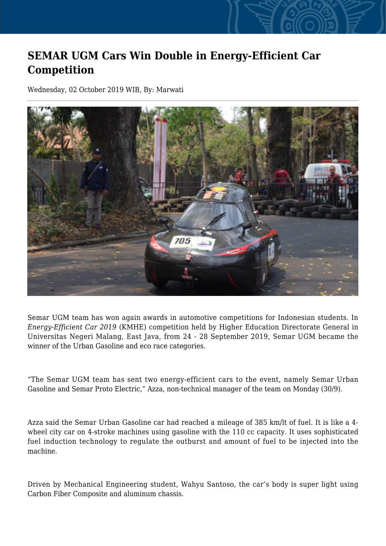## **SEMAR UGM Cars Win Double in Energy-Efficient Car Competition**

Wednesday, 02 October 2019 WIB, By: Marwati



Semar UGM team has won again awards in automotive competitions for Indonesian students. In *Energy-Efficient Car 2019* (KMHE) competition held by Higher Education Directorate General in Universitas Negeri Malang, East Java, from 24 - 28 September 2019, Semar UGM became the winner of the Urban Gasoline and eco race categories.

"The Semar UGM team has sent two energy-efficient cars to the event, namely Semar Urban Gasoline and Semar Proto Electric," Azza, non-technical manager of the team on Monday (30/9).

Azza said the Semar Urban Gasoline car had reached a mileage of 385 km/lt of fuel. It is like a 4 wheel city car on 4-stroke machines using gasoline with the 110 cc capacity. It uses sophisticated fuel induction technology to regulate the outburst and amount of fuel to be injected into the machine.

Driven by Mechanical Engineering student, Wahyu Santoso, the car's body is super light using Carbon Fiber Composite and aluminum chassis.